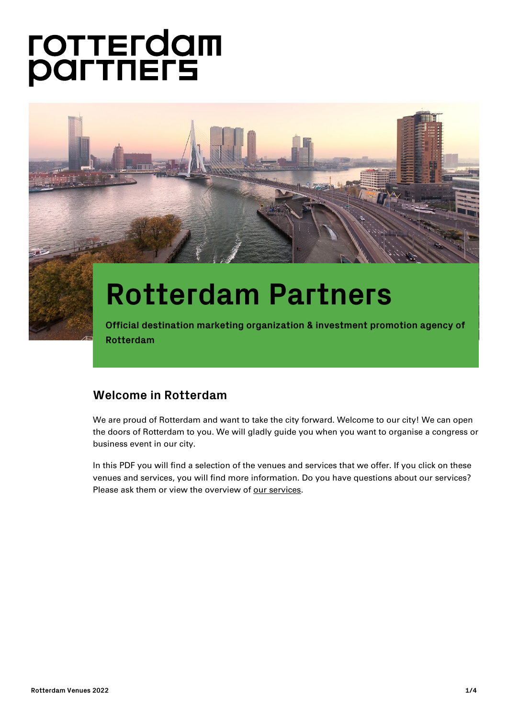# **FOTTEFOOM**<br>**POLTUELE**



# **Rotterdam Partners**

**Official destination marketing organization & investment promotion agency of Rotterdam**

# **Welcome in Rotterdam**

We are proud of Rotterdam and want to take the city forward. Welcome to our city! We can open the doors of Rotterdam to you. We will gladly guide you when you want to organise a congress or business event in our city.

In this PDF you will find a selection of the venues and services that we offer. If you click on these venues and services, you will find more information. Do you have questions about our services? Please ask them or view the overview of [our services.](https://en.rotterdampartners.nl/how-we-help/)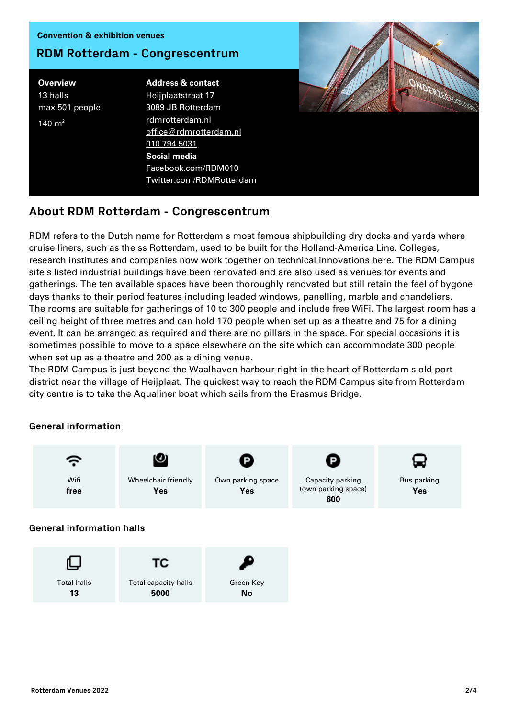#### Convention & exhibition venues

### **RDM Rotterdam - Congrescentrum**

**Overview** 13 halls max 501 people 140  $m<sup>2</sup>$ 

Address & contact Heijplaatstraat 17 3089 JB Rotterdam [rdmrotterdam.nl](http://www.rdmrotterdam.nl/) [office@rdmrotterdam.nl](mailto:office@rdmrotterdam.nl) [010 794 5031](#page--1-0) Social media [Facebook.com/RDM010](http://Facebook.com/RDM010) [Twitter.com/RDMRotterdam](http://Twitter.com/RDMRotterdam)



# **About RDM Rotterdam - Congrescentrum**

RDM refers to the Dutch name for Rotterdam s most famous shipbuilding dry docks and yards where cruise liners, such as the ss Rotterdam, used to be built for the Holland-America Line. Colleges, research institutes and companies now work together on technical innovations here. The RDM Campus site s listed industrial buildings have been renovated and are also used as venues for events and gatherings. The ten available spaces have been thoroughly renovated but still retain the feel of bygone days thanks to their period features including leaded windows, panelling, marble and chandeliers. The rooms are suitable for gatherings of 10 to 300 people and include free WiFi. The largest room has a ceiling height of three metres and can hold 170 people when set up as a theatre and 75 for a dining event. It can be arranged as required and there are no pillars in the space. For special occasions it is sometimes possible to move to a space elsewhere on the site which can accommodate 300 people when set up as a theatre and 200 as a dining venue.

The RDM Campus is just beyond the Waalhaven harbour right in the heart of Rotterdam s old port district near the village of Heijplaat. The quickest way to reach the RDM Campus site from Rotterdam city centre is to take the Aqualiner boat which sails from the Erasmus Bridge.

#### **General information**

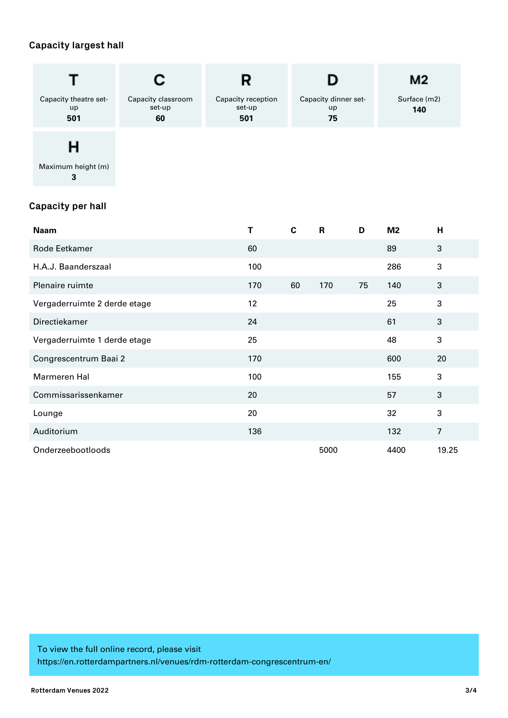## **Capacity largest hall**

|                                                                     |                                    | R                                   |                                  |              | M <sub>2</sub>      |                |              |
|---------------------------------------------------------------------|------------------------------------|-------------------------------------|----------------------------------|--------------|---------------------|----------------|--------------|
| Capacity theatre set-<br>up<br>501                                  | Capacity classroom<br>set-up<br>60 | Capacity reception<br>set-up<br>501 | Capacity dinner set-<br>up<br>75 |              | Surface (m2)<br>140 |                |              |
| н<br>Maximum height (m)<br>$\mathbf{3}$<br><b>Capacity per hall</b> |                                    |                                     |                                  |              |                     |                |              |
| <b>Naam</b>                                                         |                                    | T                                   | $\mathbf c$                      | $\mathsf{R}$ | D                   | M <sub>2</sub> | H            |
| Rode Eetkamer                                                       |                                    | 60                                  |                                  |              |                     | 89             | 3            |
| H.A.J. Baanderszaal                                                 |                                    | 100                                 |                                  |              |                     | 286            | 3            |
| Plenaire ruimte                                                     |                                    | 170                                 | 60                               | 170          | 75                  | 140            | $\mathbf{3}$ |
| Vergaderruimte 2 derde etage                                        |                                    | 12                                  |                                  |              |                     | 25             | $\mathbf{3}$ |
| Directiekamer                                                       |                                    | 24                                  |                                  |              |                     | 61             | 3            |
| Vergaderruimte 1 derde etage                                        |                                    | 25                                  |                                  |              |                     | 48             | $\mathbf{3}$ |
| Congrescentrum Baai 2                                               |                                    | 170                                 |                                  |              |                     | 600            | 20           |
| Marmeren Hal                                                        |                                    | 100                                 |                                  |              |                     | 155            | $\mathbf{3}$ |
| Commissarissenkamer                                                 |                                    | 20                                  |                                  |              |                     | 57             | $\mathbf{3}$ |
| Lounge                                                              |                                    | 20                                  |                                  |              |                     | 32             | 3            |
| Auditorium                                                          | 136                                |                                     |                                  |              | 132                 | $\overline{7}$ |              |

Onderzeebootloods 5000 4400 19.25

To view the full online record, please visit https://en.rotterdampartners.nl/venues/rdm-rotterdam-congrescentrum-en/